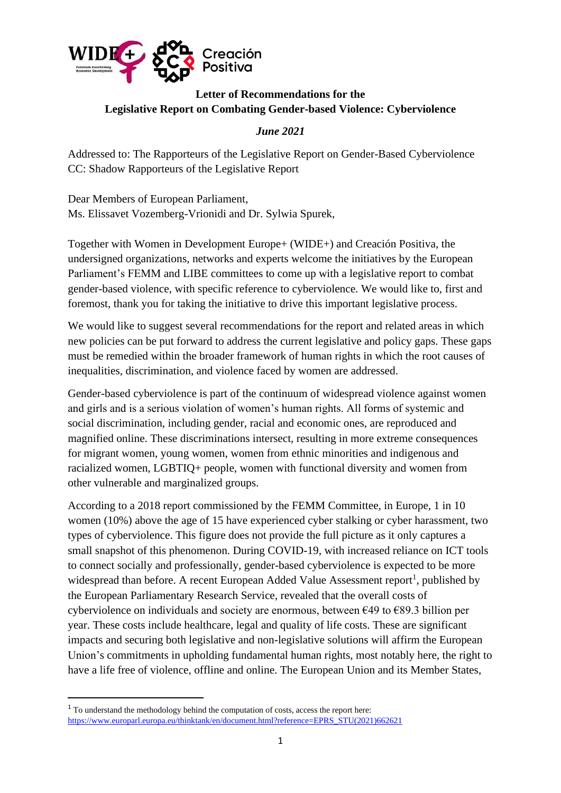

# **Letter of Recommendations for the Legislative Report on Combating Gender-based Violence: Cyberviolence**

# *June 2021*

Addressed to: The Rapporteurs of the Legislative Report on Gender-Based Cyberviolence CC: Shadow Rapporteurs of the Legislative Report

Dear Members of European Parliament, Ms. Elissavet Vozemberg-Vrionidi and Dr. Sylwia Spurek,

Together with Women in Development Europe+ (WIDE+) and Creación Positiva, the undersigned organizations, networks and experts welcome the initiatives by the European Parliament's FEMM and LIBE committees to come up with a legislative report to combat gender-based violence, with specific reference to cyberviolence. We would like to, first and foremost, thank you for taking the initiative to drive this important legislative process.

We would like to suggest several recommendations for the report and related areas in which new policies can be put forward to address the current legislative and policy gaps. These gaps must be remedied within the broader framework of human rights in which the root causes of inequalities, discrimination, and violence faced by women are addressed.

Gender-based cyberviolence is part of the continuum of widespread violence against women and girls and is a serious violation of women's human rights. All forms of systemic and social discrimination, including gender, racial and economic ones, are reproduced and magnified online. These discriminations intersect, resulting in more extreme consequences for migrant women, young women, women from ethnic minorities and indigenous and racialized women, LGBTIQ+ people, women with functional diversity and women from other vulnerable and marginalized groups.

According to a 2018 report commissioned by the FEMM Committee, in Europe, 1 in 10 women (10%) above the age of 15 have experienced cyber stalking or cyber harassment, two types of cyberviolence. This figure does not provide the full picture as it only captures a small snapshot of this phenomenon. During COVID-19, with increased reliance on ICT tools to connect socially and professionally, gender-based cyberviolence is expected to be more widespread than before. A recent European Added Value Assessment report<sup>1</sup>, published by the European Parliamentary Research Service, revealed that the overall costs of cyberviolence on individuals and society are enormous, between  $\epsilon$ 49 to  $\epsilon$ 89.3 billion per year. These costs include healthcare, legal and quality of life costs. These are significant impacts and securing both legislative and non-legislative solutions will affirm the European Union's commitments in upholding fundamental human rights, most notably here, the right to have a life free of violence, offline and online. The European Union and its Member States,

<sup>&</sup>lt;sup>1</sup> To understand the methodology behind the computation of costs, access the report here: [https://www.europarl.europa.eu/thinktank/en/document.html?reference=EPRS\\_STU\(2021\)662621](https://www.europarl.europa.eu/thinktank/en/document.html?reference=EPRS_STU(2021)662621)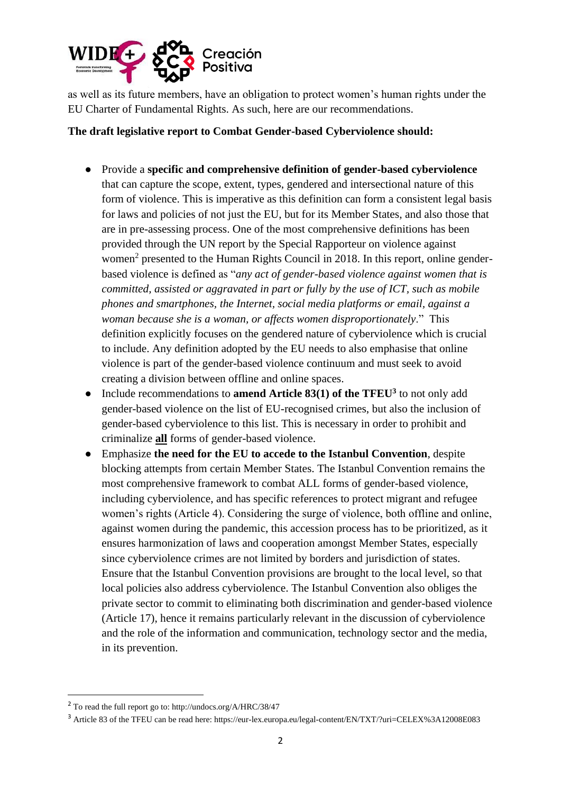

as well as its future members, have an obligation to protect women's human rights under the EU Charter of Fundamental Rights. As such, here are our recommendations.

### **The draft legislative report to Combat Gender-based Cyberviolence should:**

- Provide a **specific and comprehensive definition of gender-based cyberviolence** that can capture the scope, extent, types, gendered and intersectional nature of this form of violence. This is imperative as this definition can form a consistent legal basis for laws and policies of not just the EU, but for its Member States, and also those that are in pre-assessing process. One of the most comprehensive definitions has been provided through the UN report by the Special Rapporteur on violence against women<sup>2</sup> presented to the Human Rights Council in 2018. In this report, online genderbased violence is defined as "*any act of gender-based violence against women that is committed, assisted or aggravated in part or fully by the use of ICT, such as mobile phones and smartphones, the Internet, social media platforms or email, against a woman because she is a woman, or affects women disproportionately*." This definition explicitly focuses on the gendered nature of cyberviolence which is crucial to include. Any definition adopted by the EU needs to also emphasise that online violence is part of the gender-based violence continuum and must seek to avoid creating a division between offline and online spaces.
- Include recommendations to **amend Article 83(1) of the TFEU<sup>3</sup>** to not only add gender-based violence on the list of EU-recognised crimes, but also the inclusion of gender-based cyberviolence to this list. This is necessary in order to prohibit and criminalize **all** forms of gender-based violence.
- Emphasize **the need for the EU to accede to the Istanbul Convention**, despite blocking attempts from certain Member States. The Istanbul Convention remains the most comprehensive framework to combat ALL forms of gender-based violence, including cyberviolence, and has specific references to protect migrant and refugee women's rights (Article 4). Considering the surge of violence, both offline and online, against women during the pandemic, this accession process has to be prioritized, as it ensures harmonization of laws and cooperation amongst Member States, especially since cyberviolence crimes are not limited by borders and jurisdiction of states. Ensure that the Istanbul Convention provisions are brought to the local level, so that local policies also address cyberviolence. The Istanbul Convention also obliges the private sector to commit to eliminating both discrimination and gender-based violence (Article 17), hence it remains particularly relevant in the discussion of cyberviolence and the role of the information and communication, technology sector and the media, in its prevention.

<sup>2</sup> To read the full report go to: http://undocs.org/A/HRC/38/47

<sup>3</sup> Article 83 of the TFEU can be read here: https://eur-lex.europa.eu/legal-content/EN/TXT/?uri=CELEX%3A12008E083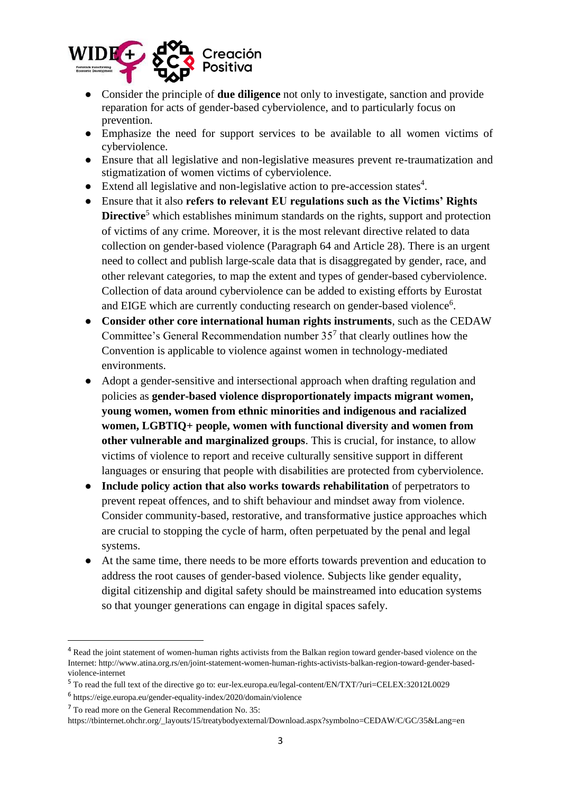

- Consider the principle of **due diligence** not only to investigate, sanction and provide reparation for acts of gender-based cyberviolence, and to particularly focus on prevention.
- Emphasize the need for support services to be available to all women victims of cyberviolence.
- Ensure that all legislative and non-legislative measures prevent re-traumatization and stigmatization of women victims of cyberviolence.
- Extend all legislative and non-legislative action to pre-accession states<sup>4</sup>.
- Ensure that it also **refers to relevant EU regulations such as the Victims' Rights Directive**<sup>5</sup> which establishes minimum standards on the rights, support and protection of victims of any crime. Moreover, it is the most relevant directive related to data collection on gender-based violence (Paragraph 64 and Article 28). There is an urgent need to collect and publish large-scale data that is disaggregated by gender, race, and other relevant categories, to map the extent and types of gender-based cyberviolence. Collection of data around cyberviolence can be added to existing efforts by Eurostat and EIGE which are currently conducting research on gender-based violence<sup>6</sup>.
- **Consider other core international human rights instruments**, such as the CEDAW Committee's General Recommendation number  $35<sup>7</sup>$  that clearly outlines how the Convention is applicable to violence against women in technology-mediated environments.
- Adopt a gender-sensitive and intersectional approach when drafting regulation and policies as **gender-based violence disproportionately impacts migrant women, young women, women from ethnic minorities and indigenous and racialized women, LGBTIQ+ people, women with functional diversity and women from other vulnerable and marginalized groups**. This is crucial, for instance, to allow victims of violence to report and receive culturally sensitive support in different languages or ensuring that people with disabilities are protected from cyberviolence.
- **Include policy action that also works towards rehabilitation** of perpetrators to prevent repeat offences, and to shift behaviour and mindset away from violence. Consider community-based, restorative, and transformative justice approaches which are crucial to stopping the cycle of harm, often perpetuated by the penal and legal systems.
- At the same time, there needs to be more efforts towards prevention and education to address the root causes of gender-based violence. Subjects like gender equality, digital citizenship and digital safety should be mainstreamed into education systems so that younger generations can engage in digital spaces safely.

<sup>&</sup>lt;sup>4</sup> Read the joint statement of women-human rights activists from the Balkan region toward gender-based violence on the Internet: http://www.atina.org.rs/en/joint-statement-women-human-rights-activists-balkan-region-toward-gender-basedviolence-internet

<sup>5</sup> To read the full text of the directive go to: eur-lex.europa.eu/legal-content/EN/TXT/?uri=CELEX:32012L0029

<sup>6</sup> https://eige.europa.eu/gender-equality-index/2020/domain/violence

<sup>7</sup> To read more on the General Recommendation No. 35:

https://tbinternet.ohchr.org/\_layouts/15/treatybodyexternal/Download.aspx?symbolno=CEDAW/C/GC/35&Lang=en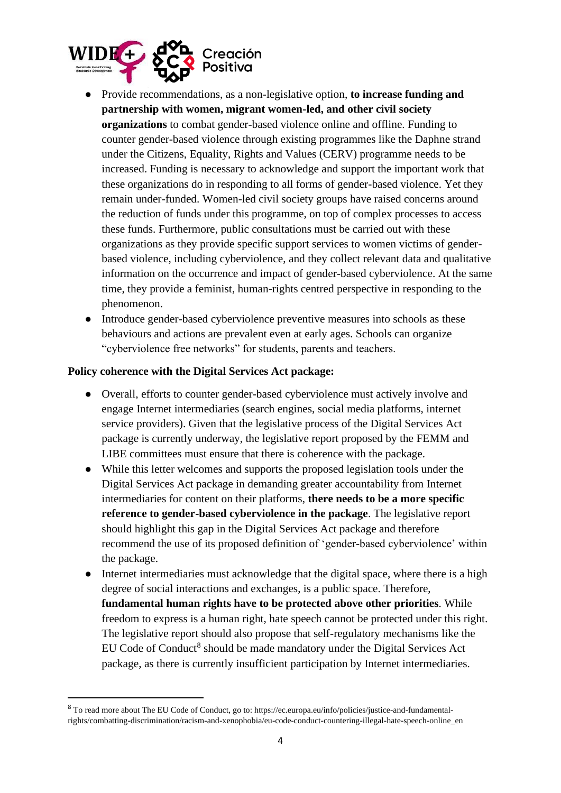

- Provide recommendations, as a non-legislative option, **to increase funding and partnership with women, migrant women-led, and other civil society organizations** to combat gender-based violence online and offline. Funding to counter gender-based violence through existing programmes like the Daphne strand under the Citizens, Equality, Rights and Values (CERV) programme needs to be increased. Funding is necessary to acknowledge and support the important work that these organizations do in responding to all forms of gender-based violence. Yet they remain under-funded. Women-led civil society groups have raised concerns around the reduction of funds under this programme, on top of complex processes to access these funds. Furthermore, public consultations must be carried out with these organizations as they provide specific support services to women victims of genderbased violence, including cyberviolence, and they collect relevant data and qualitative information on the occurrence and impact of gender-based cyberviolence. At the same time, they provide a feminist, human-rights centred perspective in responding to the phenomenon.
- Introduce gender-based cyberviolence preventive measures into schools as these behaviours and actions are prevalent even at early ages. Schools can organize "cyberviolence free networks" for students, parents and teachers.

#### **Policy coherence with the Digital Services Act package:**

- Overall, efforts to counter gender-based cyberviolence must actively involve and engage Internet intermediaries (search engines, social media platforms, internet service providers). Given that the legislative process of the Digital Services Act package is currently underway, the legislative report proposed by the FEMM and LIBE committees must ensure that there is coherence with the package.
- While this letter welcomes and supports the proposed legislation tools under the Digital Services Act package in demanding greater accountability from Internet intermediaries for content on their platforms, **there needs to be a more specific reference to gender-based cyberviolence in the package**. The legislative report should highlight this gap in the Digital Services Act package and therefore recommend the use of its proposed definition of 'gender-based cyberviolence' within the package.
- Internet intermediaries must acknowledge that the digital space, where there is a high degree of social interactions and exchanges, is a public space. Therefore, **fundamental human rights have to be protected above other priorities**. While freedom to express is a human right, hate speech cannot be protected under this right. The legislative report should also propose that self-regulatory mechanisms like the EU Code of Conduct<sup>8</sup> should be made mandatory under the Digital Services Act package, as there is currently insufficient participation by Internet intermediaries.

<sup>8</sup> To read more about The EU Code of Conduct, go to: https://ec.europa.eu/info/policies/justice-and-fundamentalrights/combatting-discrimination/racism-and-xenophobia/eu-code-conduct-countering-illegal-hate-speech-online\_en